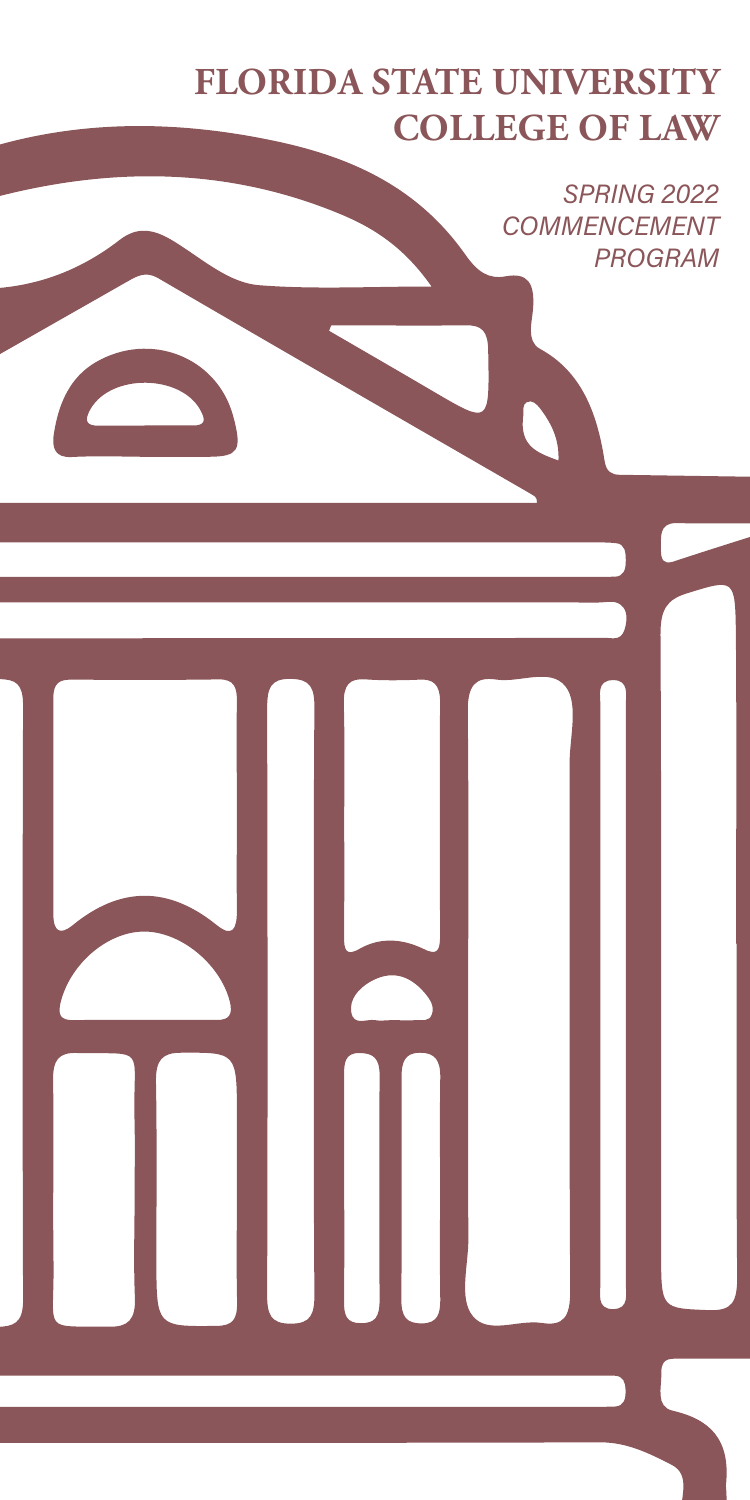# **FLORIDA STATE UNIVERSITY COLLEGE OF LAW**

SPRING 2022 COMMENCEMENT PROGRAM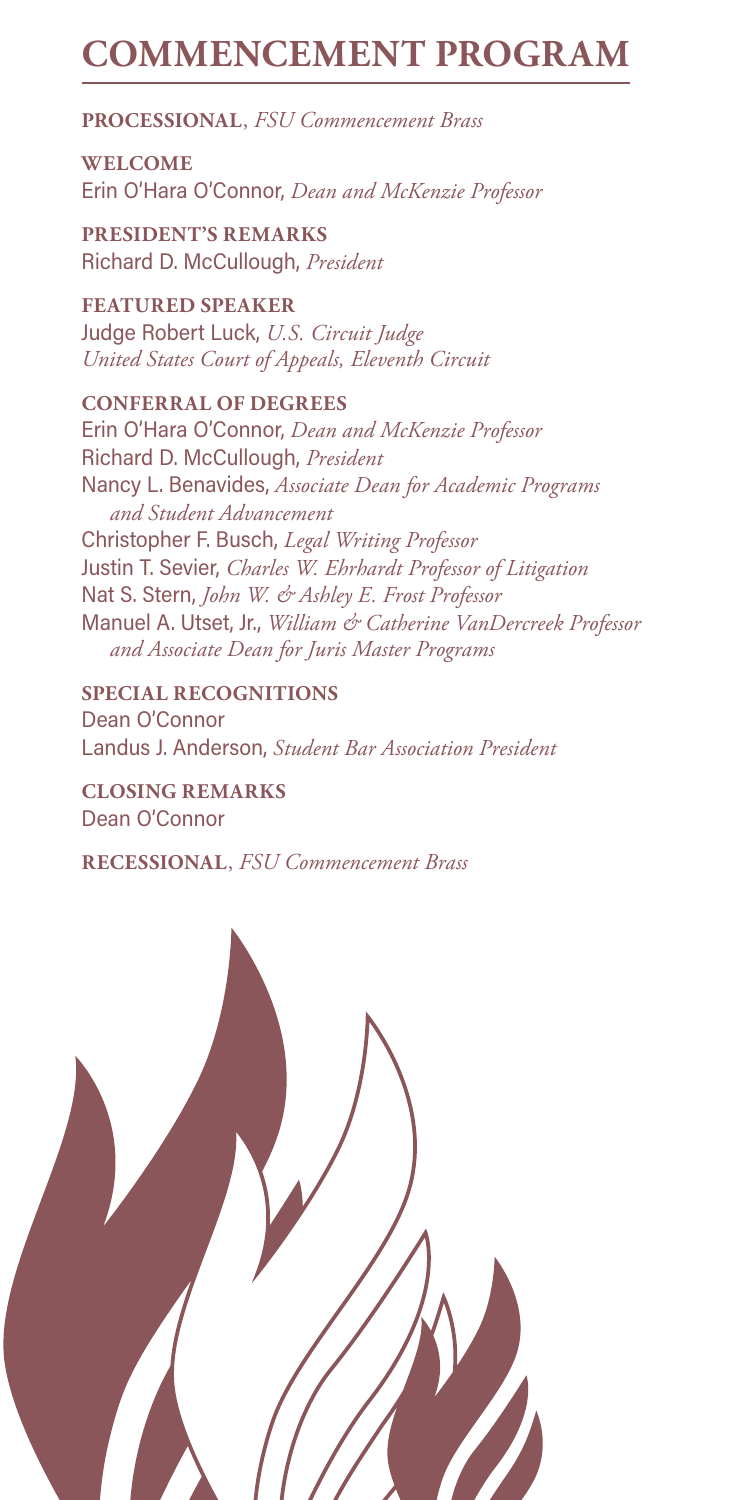# **COMMENCEMENT PROGRAM**

**PROCESSIONAL**, *FSU Commencement Brass*

**WELCOME** Erin O'Hara O'Connor, *Dean and McKenzie Professor*

**PRESIDENT'S REMARKS** Richard D. McCullough, *President*

**FEATURED SPEAKER** Judge Robert Luck, *U.S. Circuit Judge United States Court of Appeals, Eleventh Circuit*

**CONFERRAL OF DEGREES** Erin O'Hara O'Connor, *Dean and McKenzie Professor* Richard D. McCullough, *President* Nancy L. Benavides, *Associate Dean for Academic Programs and Student Advancement* Christopher F. Busch, *Legal Writing Professor* Justin T. Sevier, *Charles W. Ehrhardt Professor of Litigation* Nat S. Stern, *John W. & Ashley E. Frost Professor* Manuel A. Utset, Jr., *William & Catherine VanDercreek Professor and Associate Dean for Juris Master Programs*

**SPECIAL RECOGNITIONS** Dean O'Connor Landus J. Anderson, *Student Bar Association President*

**CLOSING REMARKS** Dean O'Connor

**RECESSIONAL**, *FSU Commencement Brass*

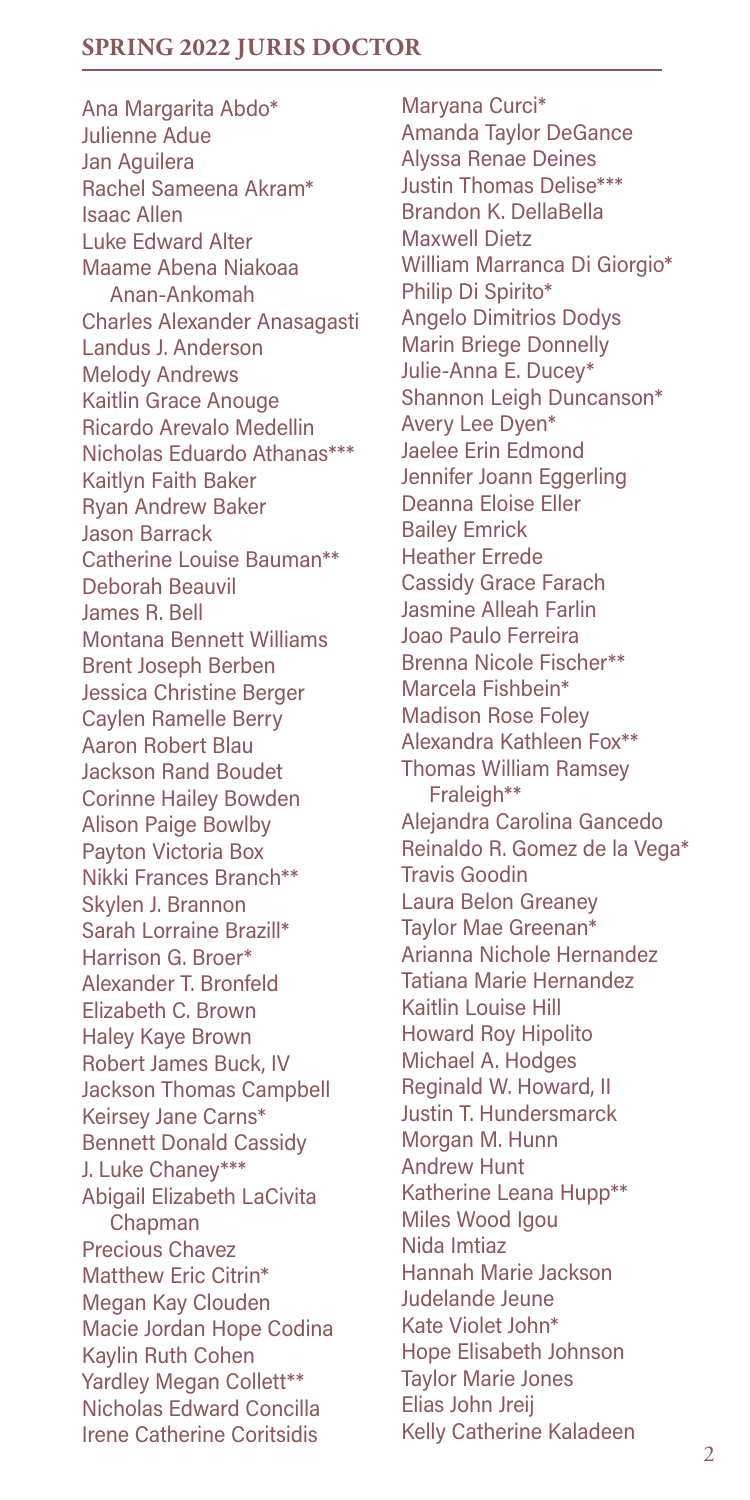# **SPRING 2022 JURIS DOCTOR**

Ana Margarita Abdo\* Julienne Adue Jan Aguilera Rachel Sameena Akram\* Isaac Allen Luke Edward Alter Maame Abena Niakoaa Anan-Ankomah Charles Alexander Anasagasti Landus J. Anderson Melody Andrews Kaitlin Grace Anouge Ricardo Arevalo Medellin Nicholas Eduardo Athanas\*\*\* Kaitlyn Faith Baker Ryan Andrew Baker Jason Barrack Catherine Louise Bauman\*\* Deborah Beauvil James R. Bell Montana Bennett Williams Brent Joseph Berben Jessica Christine Berger Caylen Ramelle Berry Aaron Robert Blau Jackson Rand Boudet Corinne Hailey Bowden Alison Paige Bowlby Payton Victoria Box Nikki Frances Branch\*\* Skylen J. Brannon Sarah Lorraine Brazill\* Harrison G. Broer\* Alexander T. Bronfeld Elizabeth C. Brown Haley Kaye Brown Robert James Buck, IV Jackson Thomas Campbell Keirsey Jane Carns\* Bennett Donald Cassidy J. Luke Chaney\*\*\* Abigail Elizabeth LaCivita Chapman Precious Chavez Matthew Eric Citrin\* Megan Kay Clouden Macie Jordan Hope Codina Kaylin Ruth Cohen Yardley Megan Collett\*\* Nicholas Edward Concilla Irene Catherine Coritsidis

Maryana Curci\* Amanda Taylor DeGance Alyssa Renae Deines Justin Thomas Delise\*\*\* Brandon K. DellaBella Maxwell Dietz William Marranca Di Giorgio\* Philip Di Spirito\* Angelo Dimitrios Dodys Marin Briege Donnelly Julie-Anna E. Ducey\* Shannon Leigh Duncanson\* Avery Lee Dyen\* Jaelee Erin Edmond Jennifer Joann Eggerling Deanna Eloise Eller Bailey Emrick Heather Errede Cassidy Grace Farach Jasmine Alleah Farlin Joao Paulo Ferreira Brenna Nicole Fischer\*\* Marcela Fishbein\* Madison Rose Foley Alexandra Kathleen Fox\*\* Thomas William Ramsey Fraleigh\*\* Alejandra Carolina Gancedo Reinaldo R. Gomez de la Vega\* Travis Goodin Laura Belon Greaney Taylor Mae Greenan\* Arianna Nichole Hernandez Tatiana Marie Hernandez Kaitlin Louise Hill Howard Roy Hipolito Michael A. Hodges Reginald W. Howard, II Justin T. Hundersmarck Morgan M. Hunn Andrew Hunt Katherine Leana Hupp\*\* Miles Wood Igou Nida Imtiaz Hannah Marie Jackson Judelande Jeune Kate Violet John\* Hope Elisabeth Johnson Taylor Marie Jones Elias John Jreij Kelly Catherine Kaladeen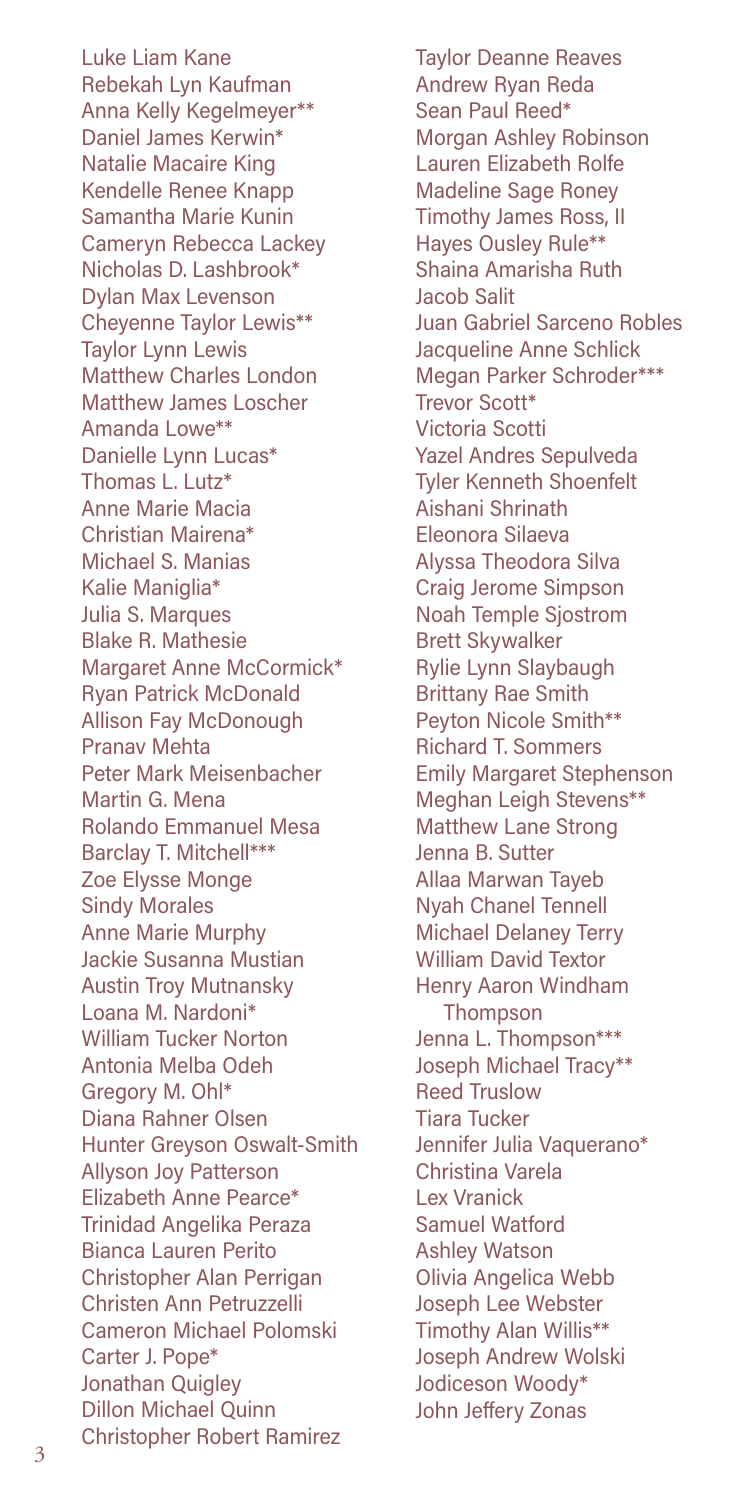Luke Liam Kane Rebekah Lyn Kaufman Anna Kelly Kegelmeyer\*\* Daniel James Kerwin\* Natalie Macaire King Kendelle Renee Knapp Samantha Marie Kunin Cameryn Rebecca Lackey Nicholas D. Lashbrook\* Dylan Max Levenson Cheyenne Taylor Lewis\*\* Taylor Lynn Lewis Matthew Charles London Matthew James Loscher Amanda Lowe\*\* Danielle Lynn Lucas\* Thomas L. Lutz\* Anne Marie Macia Christian Mairena\* Michael S. Manias Kalie Maniglia\* Julia S. Marques Blake R. Mathesie Margaret Anne McCormick\* Ryan Patrick McDonald Allison Fay McDonough Pranav Mehta Peter Mark Meisenbacher Martin G. Mena Rolando Emmanuel Mesa Barclay T. Mitchell\*\*\* Zoe Elysse Monge Sindy Morales Anne Marie Murphy Jackie Susanna Mustian Austin Troy Mutnansky Loana M. Nardoni\* William Tucker Norton Antonia Melba Odeh Gregory M. Ohl\* Diana Rahner Olsen Hunter Greyson Oswalt-Smith Allyson Joy Patterson Elizabeth Anne Pearce\* Trinidad Angelika Peraza Bianca Lauren Perito Christopher Alan Perrigan Christen Ann Petruzzelli Cameron Michael Polomski Carter J. Pope\* Jonathan Quigley Dillon Michael Quinn Christopher Robert Ramirez

Taylor Deanne Reaves Andrew Ryan Reda Sean Paul Reed\* Morgan Ashley Robinson Lauren Elizabeth Rolfe Madeline Sage Roney Timothy James Ross, II Hayes Ousley Rule\*\* Shaina Amarisha Ruth Jacob Salit Juan Gabriel Sarceno Robles Jacqueline Anne Schlick Megan Parker Schroder\*\*\* Trevor Scott\* Victoria Scotti Yazel Andres Sepulveda Tyler Kenneth Shoenfelt Aishani Shrinath Eleonora Silaeva Alyssa Theodora Silva Craig Jerome Simpson Noah Temple Sjostrom Brett Skywalker Rylie Lynn Slaybaugh Brittany Rae Smith Peyton Nicole Smith\*\* Richard T. Sommers Emily Margaret Stephenson Meghan Leigh Stevens\*\* Matthew Lane Strong Jenna B. Sutter Allaa Marwan Tayeb Nyah Chanel Tennell Michael Delaney Terry William David Textor Henry Aaron Windham Thompson Jenna L. Thompson\*\*\* Joseph Michael Tracy\*\* Reed Truslow Tiara Tucker Jennifer Julia Vaquerano\* Christina Varela Lex Vranick Samuel Watford Ashley Watson Olivia Angelica Webb Joseph Lee Webster Timothy Alan Willis\*\* Joseph Andrew Wolski Jodiceson Woody\* John Jeffery Zonas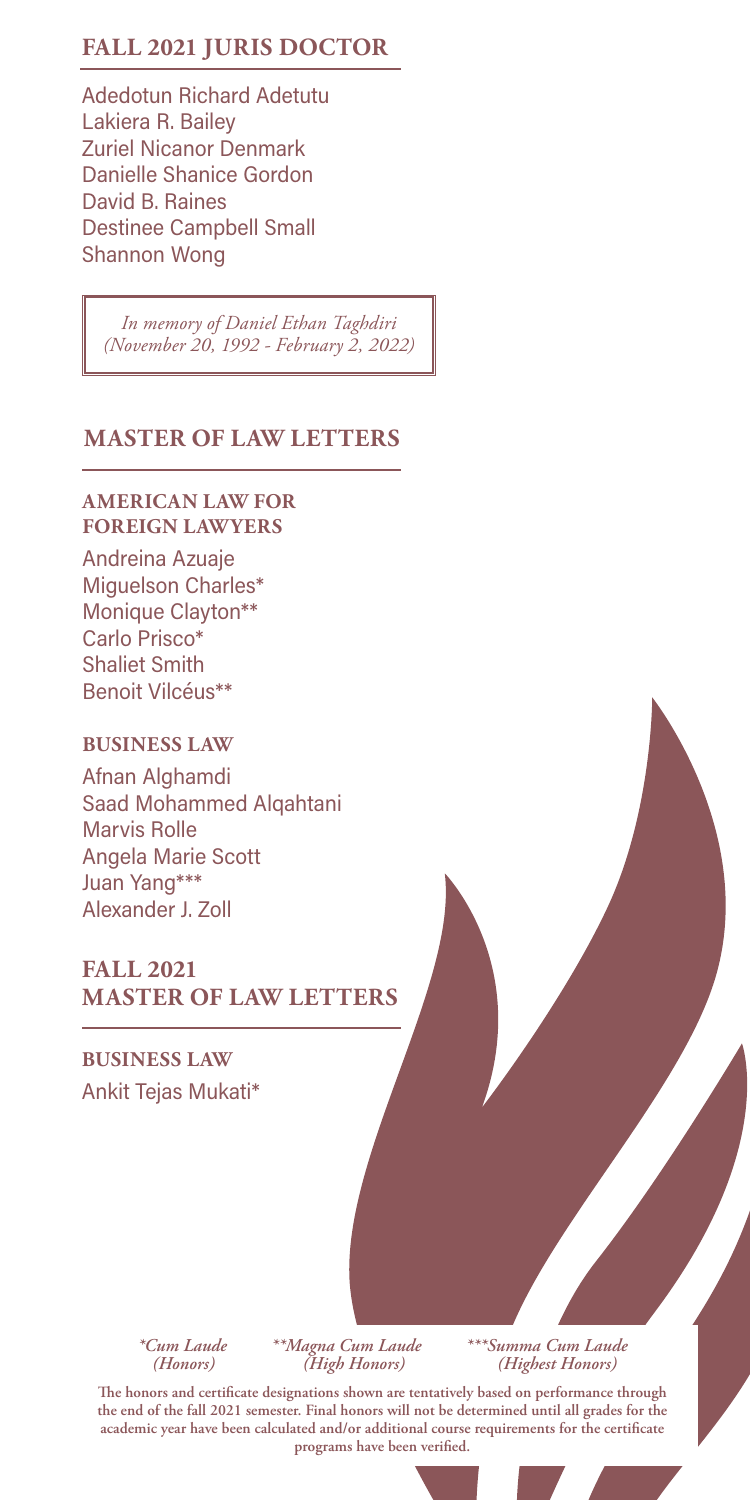# **FALL 2021 JURIS DOCTOR**

Adedotun Richard Adetutu Lakiera R. Bailey Zuriel Nicanor Denmark Danielle Shanice Gordon David B. Raines Destinee Campbell Small Shannon Wong

*In memory of Daniel Ethan Taghdiri (November 20, 1992 - February 2, 2022)*

# **MASTER OF LAW LETTERS**

## **AMERICAN LAW FOR FOREIGN LAWYERS**

Andreina Azuaje Miguelson Charles\* Monique Clayton\*\* Carlo Prisco\* Shaliet Smith Benoit Vilcéus\*\*

## **BUSINESS LAW**

Afnan Alghamdi Saad Mohammed Alqahtani Marvis Rolle Angela Marie Scott Juan Yang\*\*\* Alexander J. Zoll

# **FALL 2021 MASTER OF LAW LETTERS**

**BUSINESS LAW** Ankit Tejas Mukati\*

 *(Honors) (High Honors) (Highest Honors)*

*\*Cum Laude \*\*Magna Cum Laude \*\*\*Summa Cum Laude*

**The honors and certificate designations shown are tentatively based on performance through the end of the fall 2021 semester. Final honors will not be determined until all grades for the academic year have been calculated and/or additional course requirements for the certificate programs have been verified.**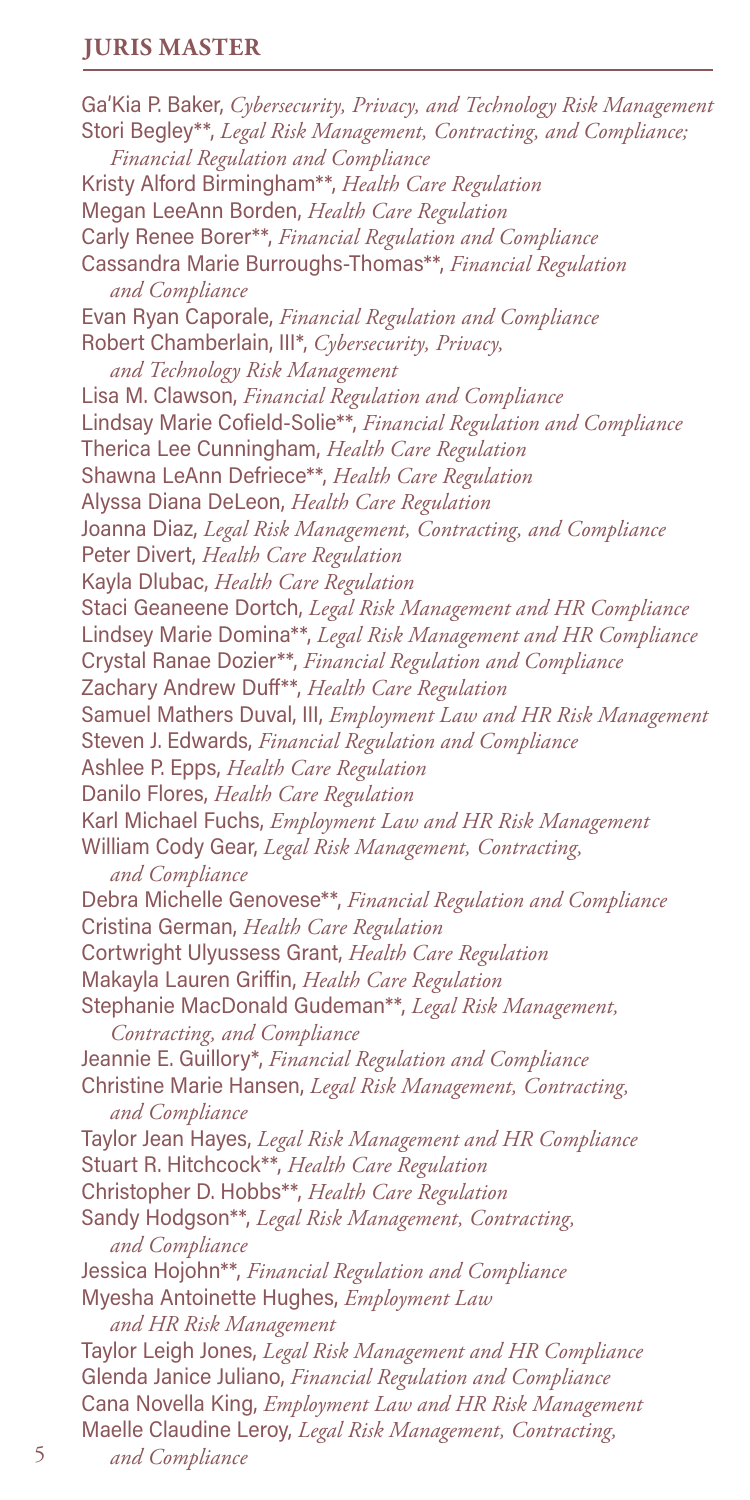# **JURIS MASTER**

Ga'Kia P. Baker, *Cybersecurity, Privacy, and Technology Risk Management* Stori Begley\*\*, *Legal Risk Management, Contracting, and Compliance; Financial Regulation and Compliance* Kristy Alford Birmingham\*\*, *Health Care Regulation* Megan LeeAnn Borden, *Health Care Regulation* Carly Renee Borer\*\*, *Financial Regulation and Compliance* Cassandra Marie Burroughs-Thomas\*\*, *Financial Regulation and Compliance* Evan Ryan Caporale, *Financial Regulation and Compliance* Robert Chamberlain, III\*, *Cybersecurity, Privacy, and Technology Risk Management* Lisa M. Clawson, *Financial Regulation and Compliance* Lindsay Marie Cofield-Solie\*\*, *Financial Regulation and Compliance* Therica Lee Cunningham, *Health Care Regulation* Shawna LeAnn Defriece\*\*, *Health Care Regulation* Alyssa Diana DeLeon, *Health Care Regulation* Joanna Diaz, *Legal Risk Management, Contracting, and Compliance* Peter Divert, *Health Care Regulation* Kayla Dlubac, *Health Care Regulation* Staci Geaneene Dortch, *Legal Risk Management and HR Compliance* Lindsey Marie Domina\*\*, *Legal Risk Management and HR Compliance* Crystal Ranae Dozier\*\*, *Financial Regulation and Compliance* Zachary Andrew Duff\*\*, *Health Care Regulation* Samuel Mathers Duval, III, *Employment Law and HR Risk Management* Steven J. Edwards, *Financial Regulation and Compliance* Ashlee P. Epps, *Health Care Regulation* Danilo Flores, *Health Care Regulation* Karl Michael Fuchs, *Employment Law and HR Risk Management* William Cody Gear, *Legal Risk Management, Contracting, and Compliance* Debra Michelle Genovese\*\*, *Financial Regulation and Compliance* Cristina German, *Health Care Regulation* Cortwright Ulyussess Grant, *Health Care Regulation* Makayla Lauren Griffin, *Health Care Regulation* Stephanie MacDonald Gudeman\*\*, *Legal Risk Management, Contracting, and Compliance* Jeannie E. Guillory\*, *Financial Regulation and Compliance* Christine Marie Hansen, *Legal Risk Management, Contracting, and Compliance* Taylor Jean Hayes, *Legal Risk Management and HR Compliance* Stuart R. Hitchcock\*\*, *Health Care Regulation* Christopher D. Hobbs\*\*, *Health Care Regulation* Sandy Hodgson\*\*, *Legal Risk Management, Contracting, and Compliance* Jessica Hojohn\*\*, *Financial Regulation and Compliance* Myesha Antoinette Hughes, *Employment Law and HR Risk Management* Taylor Leigh Jones, *Legal Risk Management and HR Compliance* Glenda Janice Juliano, *Financial Regulation and Compliance* Cana Novella King, *Employment Law and HR Risk Management* Maelle Claudine Leroy, *Legal Risk Management, Contracting,*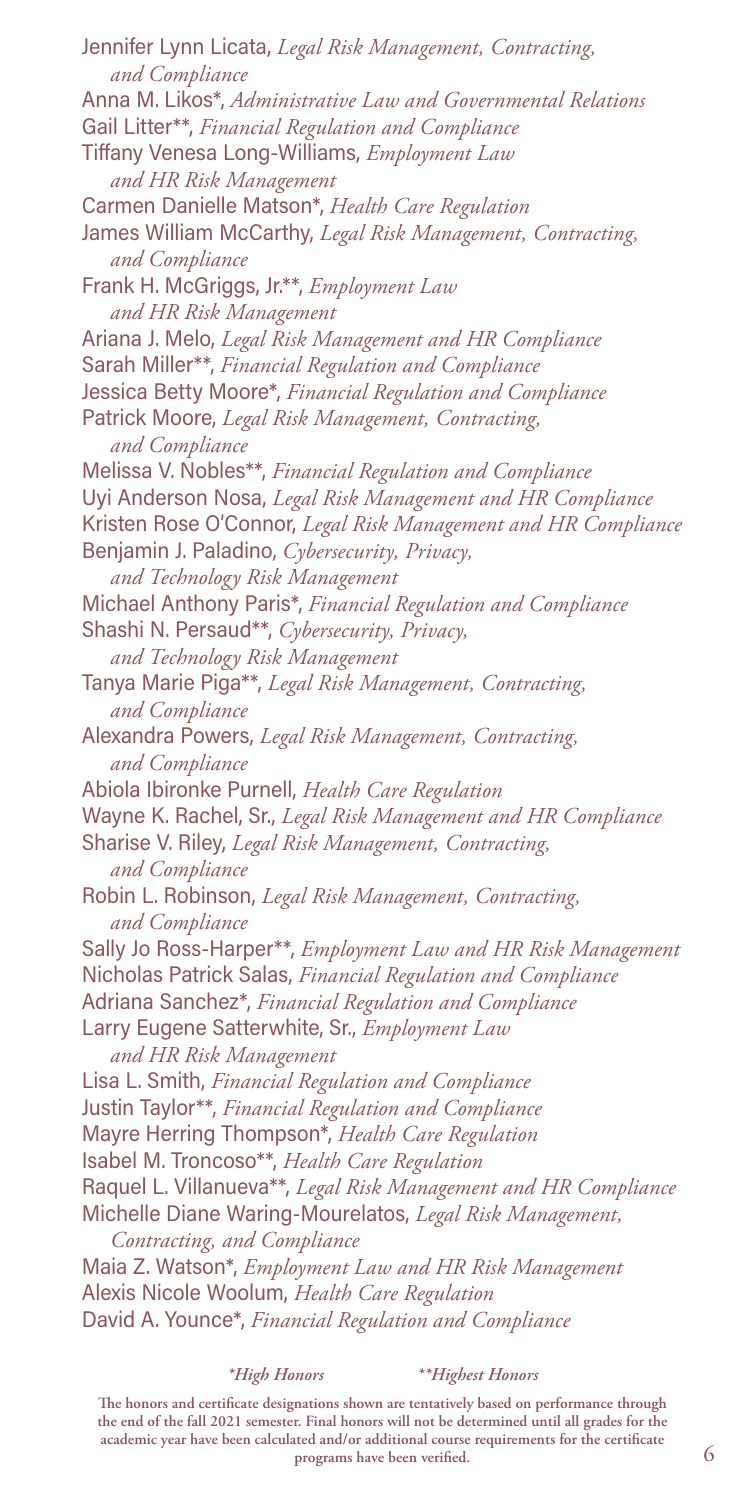Jennifer Lynn Licata, *Legal Risk Management, Contracting, and Compliance* Anna M. Likos\*, *Administrative Law and Governmental Relations* Gail Litter\*\*, *Financial Regulation and Compliance* Tiffany Venesa Long-Williams, *Employment Law and HR Risk Management* Carmen Danielle Matson\*, *Health Care Regulation* James William McCarthy, *Legal Risk Management, Contracting, and Compliance* Frank H. McGriggs, Jr.\*\*, *Employment Law and HR Risk Management* Ariana J. Melo, *Legal Risk Management and HR Compliance* Sarah Miller\*\*, *Financial Regulation and Compliance* Jessica Betty Moore\*, *Financial Regulation and Compliance* Patrick Moore, *Legal Risk Management, Contracting, and Compliance* Melissa V. Nobles\*\*, *Financial Regulation and Compliance* Uyi Anderson Nosa, *Legal Risk Management and HR Compliance* Kristen Rose O'Connor, *Legal Risk Management and HR Compliance* Benjamin J. Paladino, *Cybersecurity, Privacy, and Technology Risk Management* Michael Anthony Paris\*, *Financial Regulation and Compliance* Shashi N. Persaud\*\*, *Cybersecurity, Privacy, and Technology Risk Management* Tanya Marie Piga\*\*, *Legal Risk Management, Contracting, and Compliance* Alexandra Powers, *Legal Risk Management, Contracting, and Compliance* Abiola Ibironke Purnell, *Health Care Regulation* Wayne K. Rachel, Sr., *Legal Risk Management and HR Compliance* Sharise V. Riley, *Legal Risk Management, Contracting, and Compliance* Robin L. Robinson, *Legal Risk Management, Contracting, and Compliance* Sally Jo Ross-Harper\*\*, *Employment Law and HR Risk Management* Nicholas Patrick Salas, *Financial Regulation and Compliance* Adriana Sanchez\*, *Financial Regulation and Compliance* Larry Eugene Satterwhite, Sr., *Employment Law and HR Risk Management* Lisa L. Smith, *Financial Regulation and Compliance* Justin Taylor\*\*, *Financial Regulation and Compliance* Mayre Herring Thompson\*, *Health Care Regulation* Isabel M. Troncoso\*\*, *Health Care Regulation* Raquel L. Villanueva\*\*, *Legal Risk Management and HR Compliance* Michelle Diane Waring-Mourelatos, *Legal Risk Management, Contracting, and Compliance* Maia Z. Watson\*, *Employment Law and HR Risk Management* Alexis Nicole Woolum, *Health Care Regulation* David A. Younce\*, *Financial Regulation and Compliance*

*\*High Honors \*\*Highest Honors*

**The honors and certificate designations shown are tentatively based on performance through the end of the fall 2021 semester. Final honors will not be determined until all grades for the academic year have been calculated and/or additional course requirements for the certificate programs have been verified.**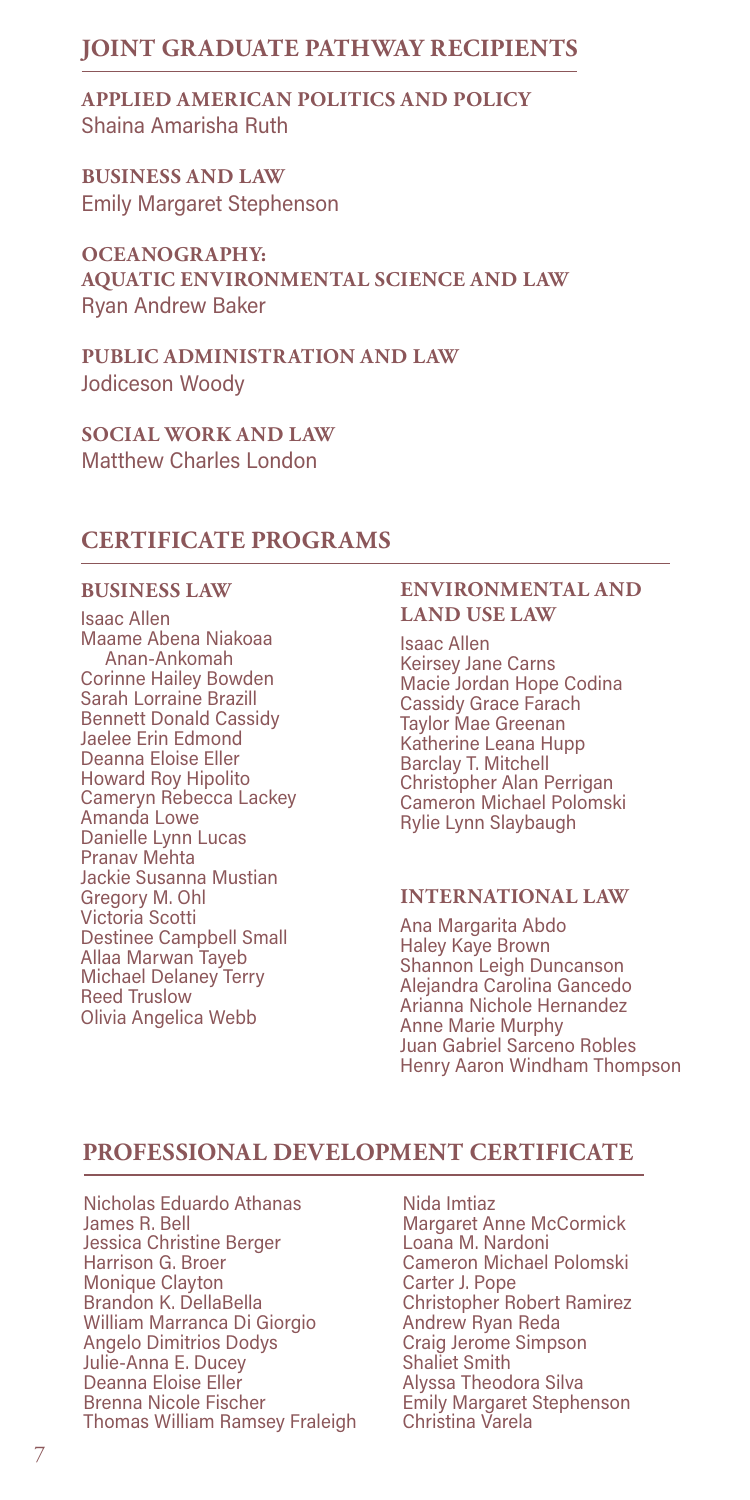# **JOINT GRADUATE PATHWAY RECIPIENTS**

**APPLIED AMERICAN POLITICS AND POLICY** Shaina Amarisha Ruth

**BUSINESS AND LAW** Emily Margaret Stephenson

**OCEANOGRAPHY: AQUATIC ENVIRONMENTAL SCIENCE AND LAW** Ryan Andrew Baker

**PUBLIC ADMINISTRATION AND LAW** Jodiceson Woody

**SOCIAL WORK AND LAW** Matthew Charles London

# **CERTIFICATE PROGRAMS**

## **BUSINESS LAW**

Isaac Allen Maame Abena Niakoaa Anan-Ankomah Corinne Hailey Bowden Sarah Lorraine Brazill Bennett Donald Cassidy Jaelee Erin Edmond Deanna Eloise Eller Howard Roy Hipolito Cameryn Rebecca Lackey Amanda Lowe Danielle Lynn Lucas Pranav Mehta Jackie Susanna Mustian Gregory M. Ohl Victoria Scotti Destinee Campbell Small Allaa Marwan Tayeb Michael Delaney Terry Reed Truslow Olivia Angelica Webb

### **ENVIRONMENTAL AND LAND USE LAW**

Isaac Allen Keirsey Jane Carns Macie Jordan Hope Codina Cassidy Grace Farach Taylor Mae Greenan Katherine Leana Hupp Barclay T. Mitchell Christopher Alan Perrigan Cameron Michael Polomski Rylie Lynn Slaybaugh

## **INTERNATIONAL LAW**

Ana Margarita Abdo Haley Kaye Brown Shannon Leigh Duncanson Alejandra Carolina Gancedo Arianna Nichole Hernandez Anne Marie Murphy Juan Gabriel Sarceno Robles Henry Aaron Windham Thompson

# **PROFESSIONAL DEVELOPMENT CERTIFICATE**

Nicholas Eduardo Athanas James R. Bell Jessica Christine Berger Harrison G. Broer Monique Clayton Brandon K. DellaBella William Marranca Di Giorgio Angelo Dimitrios Dodys Julie-Anna E. Ducey Deanna Eloise Eller Brenna Nicole Fischer Thomas William Ramsey Fraleigh Christina Varela

Nida Imtiaz Margaret Anne McCormick Loana M. Nardoni Cameron Michael Polomski Carter J. Pope Christopher Robert Ramirez Andrew Ryan Reda Craig Jerome Simpson Shaliet Smith Alyssa Theodora Silva Emily Margaret Stephenson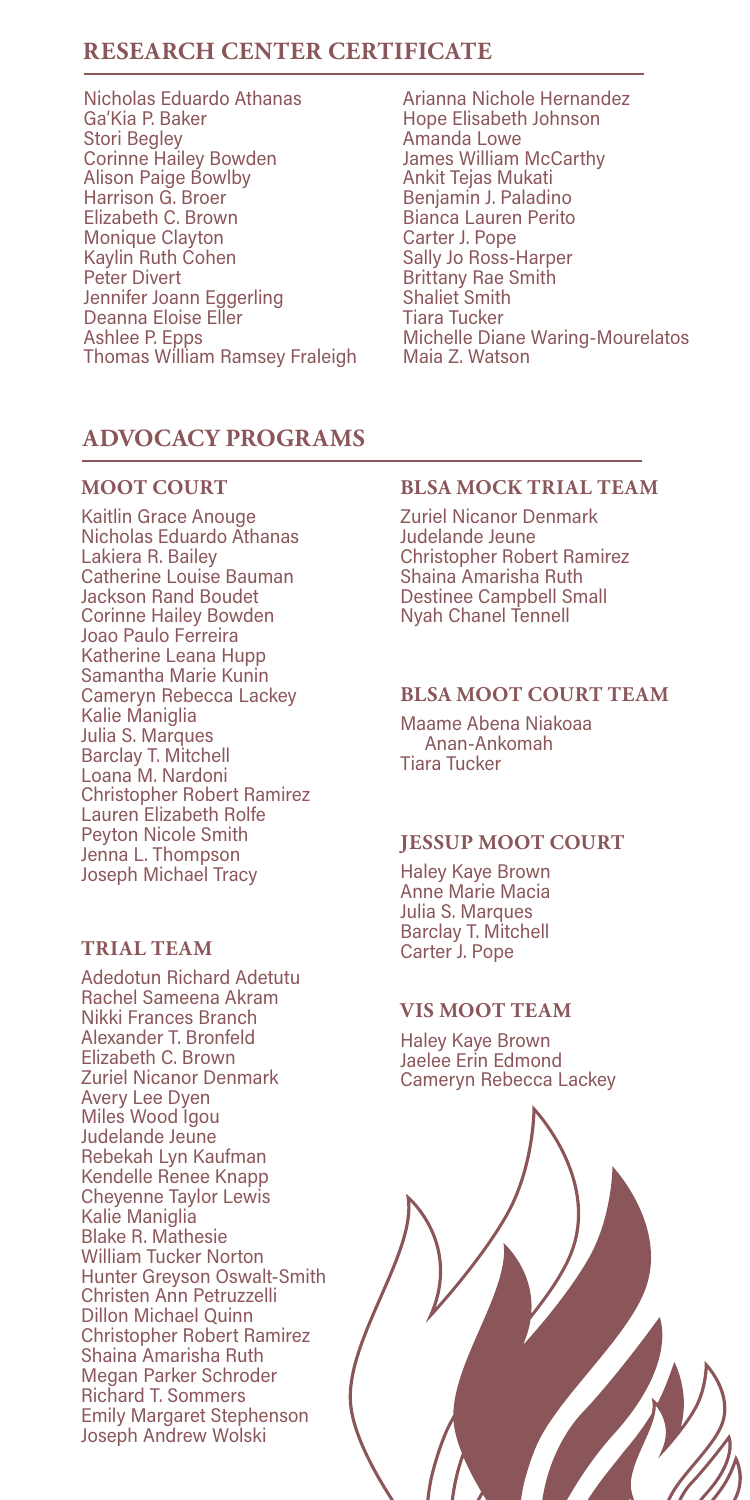# **RESEARCH CENTER CERTIFICATE**

- Nicholas Eduardo Athanas Ga'Kia P. Baker Stori Begley Corinne Hailey Bowden Alison Paige Bowlby Harrison G. Broer Elizabeth C. Brown Monique Clayton Kaylin Ruth Cohen Peter Divert Jennifer Joann Eggerling Deanna Eloise Eller Ashlee P. Epps Thomas William Ramsey Fraleigh
- Arianna Nichole Hernandez Hope Elisabeth Johnson Amanda Lowe James William McCarthy Ankit Tejas Mukati Benjamin J. Paladino Bianca Lauren Perito Carter J. Pope Sally Jo Ross-Harper Brittany Rae Smith Shaliet Smith Tiara Tucker Michelle Diane Waring-Mourelatos Maia Z. Watson

## **ADVOCACY PROGRAMS**

#### **MOOT COURT**

Kaitlin Grace Anouge Nicholas Eduardo Athanas Lakiera R. Bailey Catherine Louise Bauman Jackson Rand Boudet Corinne Hailey Bowden Joao Paulo Ferreira Katherine Leana Hupp Samantha Marie Kunin Cameryn Rebecca Lackey Kalie Maniglia Julia S. Marques Barclay T. Mitchell Loana M. Nardoni Christopher Robert Ramirez Lauren Elizabeth Rolfe Peyton Nicole Smith Jenna L. Thompson Joseph Michael Tracy

## **TRIAL TEAM**

Adedotun Richard Adetutu Rachel Sameena Akram Nikki Frances Branch Alexander T. Bronfeld Elizabeth C. Brown Zuriel Nicanor Denmark Avery Lee Dyen Miles Wood Igou Judelande Jeune Rebekah Lyn Kaufman Kendelle Renee Knapp Cheyenne Taylor Lewis Kalie Maniglia Blake R. Mathesie William Tucker Norton Hunter Greyson Oswalt-Smith Christen Ann Petruzzelli Dillon Michael Quinn Christopher Robert Ramirez Shaina Amarisha Ruth Megan Parker Schroder Richard T. Sommers Emily Margaret Stephenson Joseph Andrew Wolski

## **BLSA MOCK TRIAL TEAM**

Zuriel Nicanor Denmark Judelande Jeune Christopher Robert Ramirez Shaina Amarisha Ruth Destinee Campbell Small Nyah Chanel Tennell

#### **BLSA MOOT COURT TEAM**

Maame Abena Niakoaa Anan-Ankomah Tiara Tucker

## **JESSUP MOOT COURT**

Haley Kaye Brown Anne Marie Macia Julia S. Marques Barclay T. Mitchell Carter J. Pope

## **VIS MOOT TEAM**

Haley Kaye Brown Jaelee Erin Edmond Cameryn Rebecca Lackey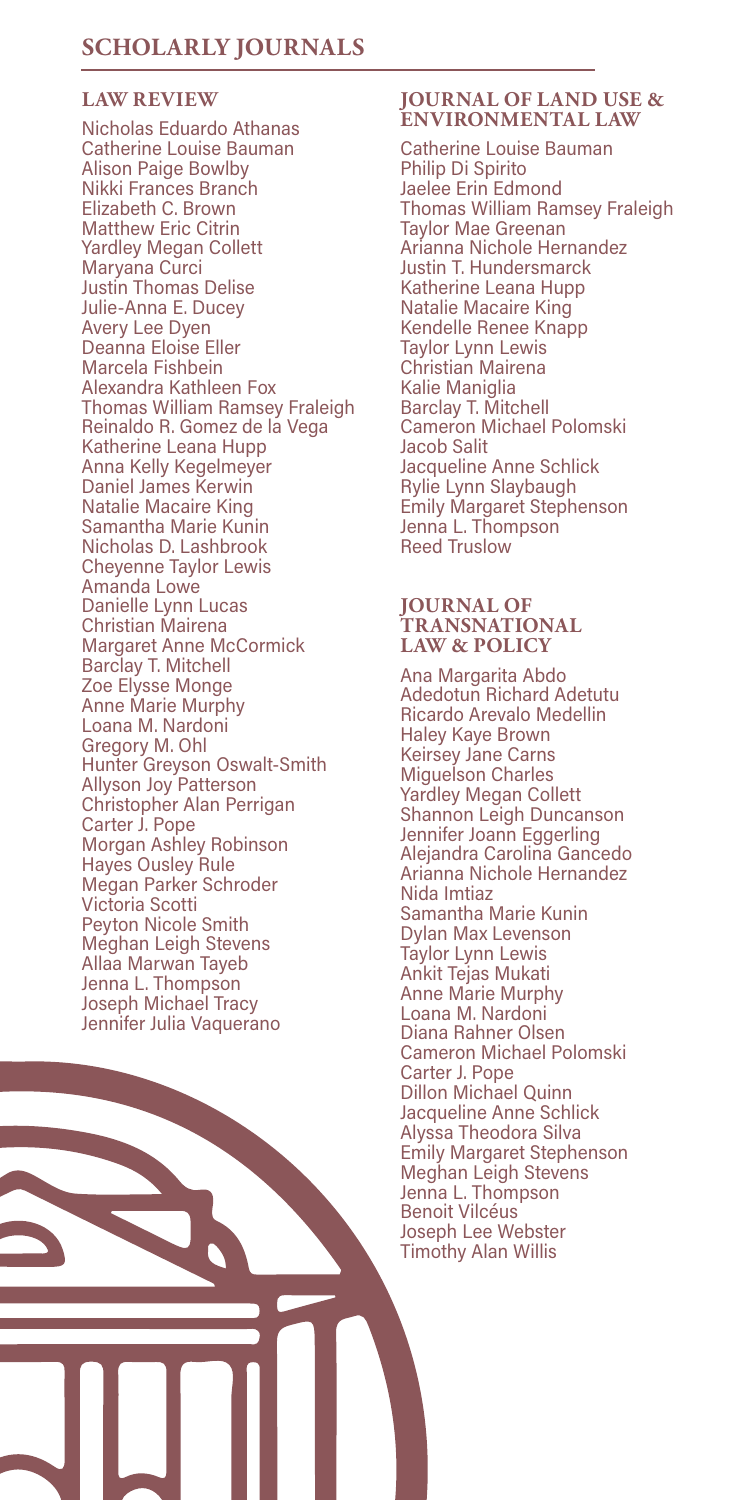## **LAW REVIEW**

Nicholas Eduardo Athanas Catherine Louise Bauman Alison Paige Bowlby Nikki Frances Branch Elizabeth C. Brown Matthew Eric Citrin Yardley Megan Collett Maryana Curci Justin Thomas Delise Julie-Anna E. Ducey Avery Lee Dyen Deanna Eloise Eller Marcela Fishbein Alexandra Kathleen Fox Thomas William Ramsey Fraleigh Reinaldo R. Gomez de la Vega Katherine Leana Hupp Anna Kelly Kegelmeyer Daniel James Kerwin Natalie Macaire King Samantha Marie Kunin Nicholas D. Lashbrook Cheyenne Taylor Lewis Amanda Lowe Danielle Lynn Lucas Christian Mairena Margaret Anne McCormick Barclay T. Mitchell Zoe Elysse Monge Anne Marie Murphy Loana M. Nardoni Gregory M. Ohl Hunter Greyson Oswalt-Smith Allyson Joy Patterson Christopher Alan Perrigan Carter J. Pope Morgan Ashley Robinson Hayes Ousley Rule Megan Parker Schroder Victoria Scotti Peyton Nicole Smith Meghan Leigh Stevens Allaa Marwan Tayeb Jenna L. Thompson Joseph Michael Tracy Jennifer Julia Vaquerano

#### **JOURNAL OF LAND USE & ENVIRONMENTAL LAW**

Catherine Louise Bauman Philip Di Spirito Jaelee Erin Edmond Thomas William Ramsey Fraleigh Taylor Mae Greenan Arianna Nichole Hernandez Justin T. Hundersmarck Katherine Leana Hupp Natalie Macaire King Kendelle Renee Knapp Taylor Lynn Lewis Christian Mairena Kalie Maniglia Barclay T. Mitchell Cameron Michael Polomski Jacob Salit Jacqueline Anne Schlick Rylie Lynn Slaybaugh Emily Margaret Stephenson Jenna L. Thompson Reed Truslow

#### **JOURNAL OF TRANSNATIONAL LAW & POLICY**

Ana Margarita Abdo Adedotun Richard Adetutu Ricardo Arevalo Medellin Haley Kaye Brown Keirsey Jane Carns Miguelson Charles Yardley Megan Collett Shannon Leigh Duncanson Jennifer Joann Eggerling Alejandra Carolina Gancedo Arianna Nichole Hernandez Nida Imtiaz Samantha Marie Kunin Dylan Max Levenson Taylor Lynn Lewis Ankit Tejas Mukati Anne Marie Murphy Loana M. Nardoni Diana Rahner Olsen Cameron Michael Polomski Carter J. Pope Dillon Michael Quinn Jacqueline Anne Schlick Alyssa Theodora Silva Emily Margaret Stephenson Meghan Leigh Stevens Jenna L. Thompson Benoit Vilcéus Joseph Lee Webster Timothy Alan Willis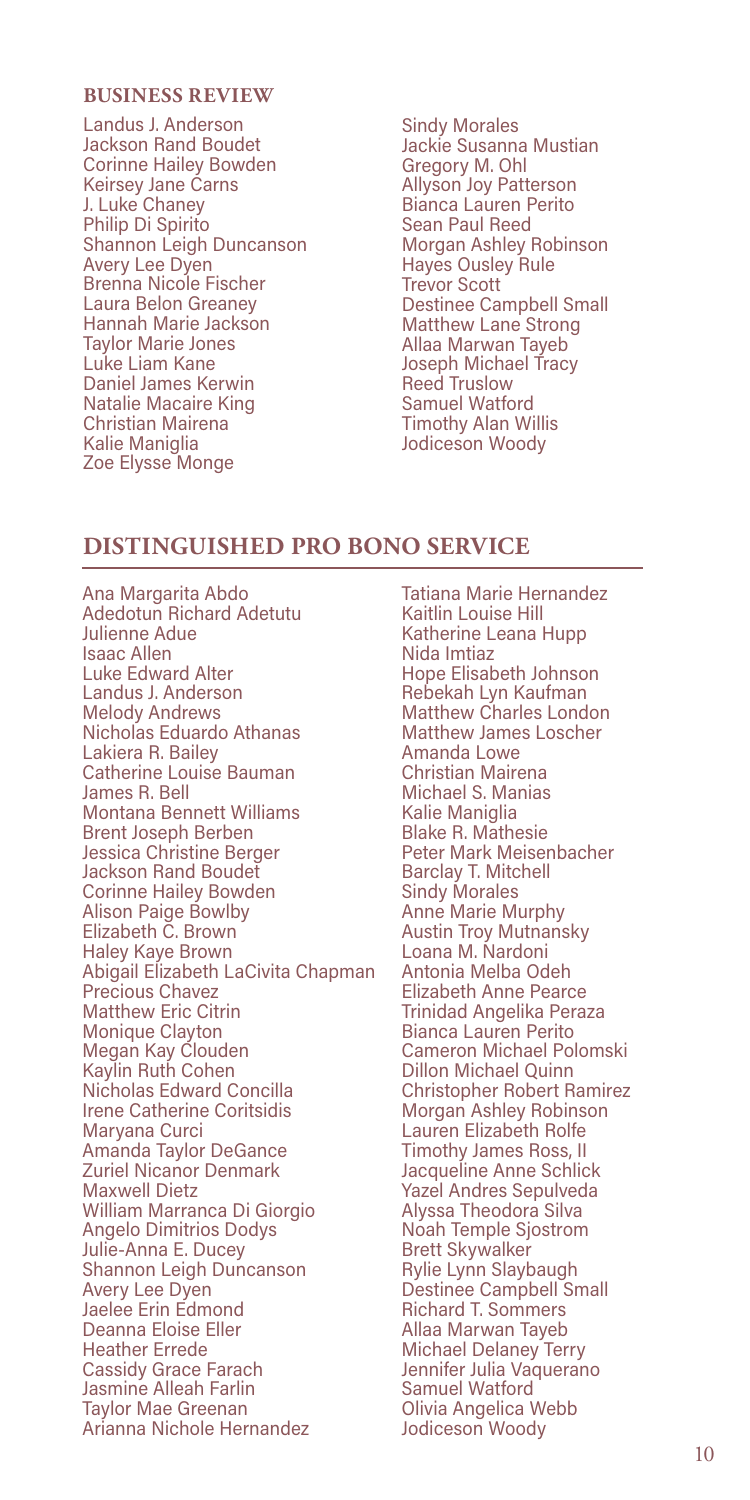#### **BUSINESS REVIEW**

Landus J. Anderson Jackson Rand Boudet Corinne Hailey Bowden Keirsey Jane Carns J. Luke Chaney Philip Di Spirito Shannon Leigh Duncanson Avery Lee Dyen Brenna Nicole Fischer Laura Belon Greaney Hannah Marie Jackson Taylor Marie Jones Luke Liam Kane Daniel James Kerwin Natalie Macaire King Christian Mairena Kalie Maniglia Zoe Elysse Monge

Sindy Morales Jackie Susanna Mustian Gregory M. Ohl Allyson Joy Patterson Bianca Lauren Perito Sean Paul Reed Morgan Ashley Robinson Hayes Ousley Rule Trevor Scott Destinee Campbell Small Matthew Lane Strong Allaa Marwan Tayeb Joseph Michael Tracy<br>Reed Truslow Reed Truslow Samuel Watford Timothy Alan Willis Jodiceson Woody

# **DISTINGUISHED PRO BONO SERVICE**

Ana Margarita Abdo Adedotun Richard Adetutu Julienne Adue Isaac Allen Luke Edward Alter Landus J. Anderson Melody Andrews Nicholas Eduardo Athanas Lakiera R. Bailey Catherine Louise Bauman James R. Bell Montana Bennett Williams Brent Joseph Berben Jessica Christine Berger Jackson Rand Boudet Corinne Hailey Bowden Alison Paige Bowlby Elizabeth C. Brown Haley Kaye Brown Abigail Elizabeth LaCivita Chapman Precious Chavez Matthew Eric Citrin Monique Clayton Megan Kay Clouden Kaylin Ruth Cohen Nicholas Edward Concilla Irene Catherine Coritsidis Maryana Curci Amanda Taylor DeGance Zuriel Nicanor Denmark Maxwell Dietz William Marranca Di Giorgio Angelo Dimitrios Dodys Julie-Anna E. Ducey Shannon Leigh Duncanson Avery Lee Dyen Jaelee Erin Edmond Deanna Eloise Eller Heather Errede Cassidy Grace Farach Jasmine Alleah Farlin Taylor Mae Greenan Arianna Nichole Hernandez

Tatiana Marie Hernandez Kaitlin Louise Hill Katherine Leana Hupp Nida Imtiaz Hope Elisabeth Johnson Rebekah Lyn Kaufman Matthew Charles London Matthew James Loscher Amanda Lowe Christian Mairena Michael S. Manias Kalie Maniglia Blake R. Mathesie Peter Mark Meisenbacher Barclay T. Mitchell Sindy Morales Anne Marie Murphy Austin Troy Mutnansky Loana M. Nardoni Antonia Melba Odeh Elizabeth Anne Pearce Trinidad Angelika Peraza Bianca Lauren Perito Cameron Michael Polomski Dillon Michael Quinn Christopher Robert Ramirez Morgan Ashley Robinson Lauren Elizabeth Rolfe Timothy James Ross, II Jacqueline Anne Schlick Yazel Andres Sepulveda Alyssa Theodora Silva Noah Temple Sjostrom Brett Skywalker Rylie Lynn Slaybaugh Destinee Campbell Small Richard T. Sommers Allaa Marwan Tayeb Allaa iviar ware een<br>Michael Delaney Terry Jennifer Julia Vaquerano Samuel Watford Olivia Angelica Webb Jodiceson Woody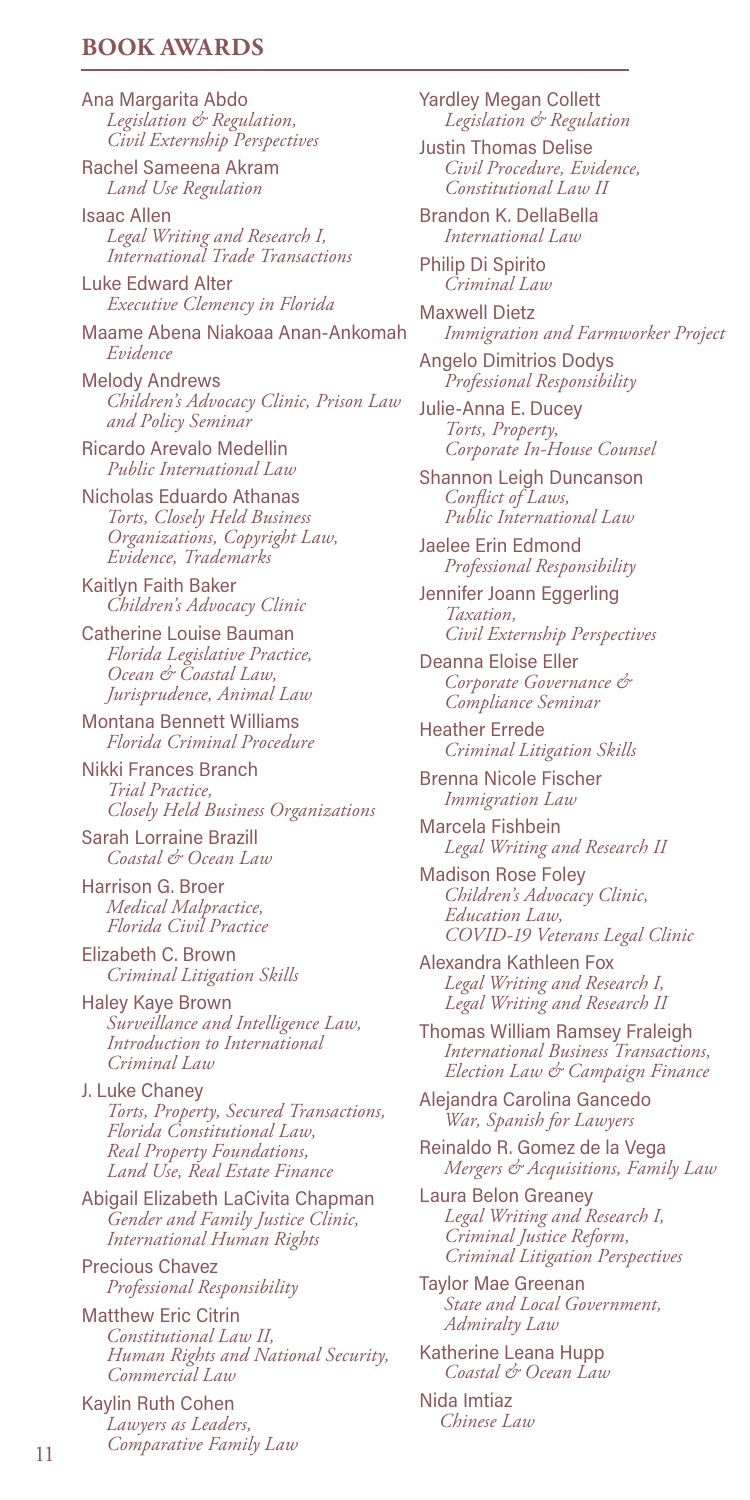## **BOOK AWARDS**

Ana Margarita Abdo *Legislation & Regulation, Civil Externship Perspectives*

Rachel Sameena Akram *Land Use Regulation*

Isaac Allen *Legal Writing and Research I, International Trade Transactions*

Luke Edward Alter  *Executive Clemency in Florida*

Maame Abena Niakoaa Anan-Ankomah *Evidence*

Melody Andrews *Children's Advocacy Clinic, Prison Law and Policy Seminar*

Ricardo Arevalo Medellin  *Public International Law*

Nicholas Eduardo Athanas *Torts, Closely Held Business Organizations, Copyright Law, Evidence, Trademarks*

Kaitlyn Faith Baker *Children's Advocacy Clinic*

Catherine Louise Bauman  *Florida Legislative Practice, Ocean & Coastal Law, Jurisprudence, Animal Law*

Montana Bennett Williams *Florida Criminal Procedure*

Nikki Frances Branch  *Trial Practice, Closely Held Business Organizations*

Sarah Lorraine Brazill *Coastal & Ocean Law*

Harrison G. Broer *Medical Malpractice, Florida Civil Practice*

Elizabeth C. Brown *Criminal Litigation Skills*

Haley Kaye Brown  *Surveillance and Intelligence Law, Introduction to International Criminal Law*

J. Luke Chaney *Torts, Property, Secured Transactions, Florida Constitutional Law, Real Property Foundations, Land Use, Real Estate Finance*

Abigail Elizabeth LaCivita Chapman  *Gender and Family Justice Clinic, International Human Rights*

Precious Chavez *Professional Responsibility*

Matthew Eric Citrin *Constitutional Law II, Human Rights and National Security, Commercial Law*

Kaylin Ruth Cohen *Lawyers as Leaders, Comparative Family Law* <sup>11</sup> Yardley Megan Collett  *Legislation & Regulation*

Justin Thomas Delise *Civil Procedure, Evidence, Constitutional Law II*

Brandon K. DellaBella *International Law*

Philip Di Spirito *Criminal Law*

Maxwell Dietz *Immigration and Farmworker Project*

Angelo Dimitrios Dodys  *Professional Responsibility*

Julie-Anna E. Ducey  *Torts, Property, Corporate In-House Counsel*

Shannon Leigh Duncanson *Conflict of Laws, Public International Law*

Jaelee Erin Edmond *Professional Responsibility*

Jennifer Joann Eggerling  *Taxation, Civil Externship Perspectives*

Deanna Eloise Eller *Corporate Governance & Compliance Seminar*

Heather Errede *Criminal Litigation Skills*

Brenna Nicole Fischer *Immigration Law*

Marcela Fishbein *Legal Writing and Research II*

Madison Rose Foley *Children's Advocacy Clinic, Education Law, COVID-19 Veterans Legal Clinic*

Alexandra Kathleen Fox *Legal Writing and Research I, Legal Writing and Research II*

Thomas William Ramsey Fraleigh *International Business Transactions, Election Law & Campaign Finance*

Alejandra Carolina Gancedo *War, Spanish for Lawyers*

Reinaldo R. Gomez de la Vega *Mergers & Acquisitions, Family Law*

Laura Belon Greaney *Legal Writing and Research I, Criminal Justice Reform, Criminal Litigation Perspectives*

Taylor Mae Greenan *State and Local Government, Admiralty Law*

Katherine Leana Hupp *Coastal & Ocean Law*

Nida Imtiaz *Chinese Law*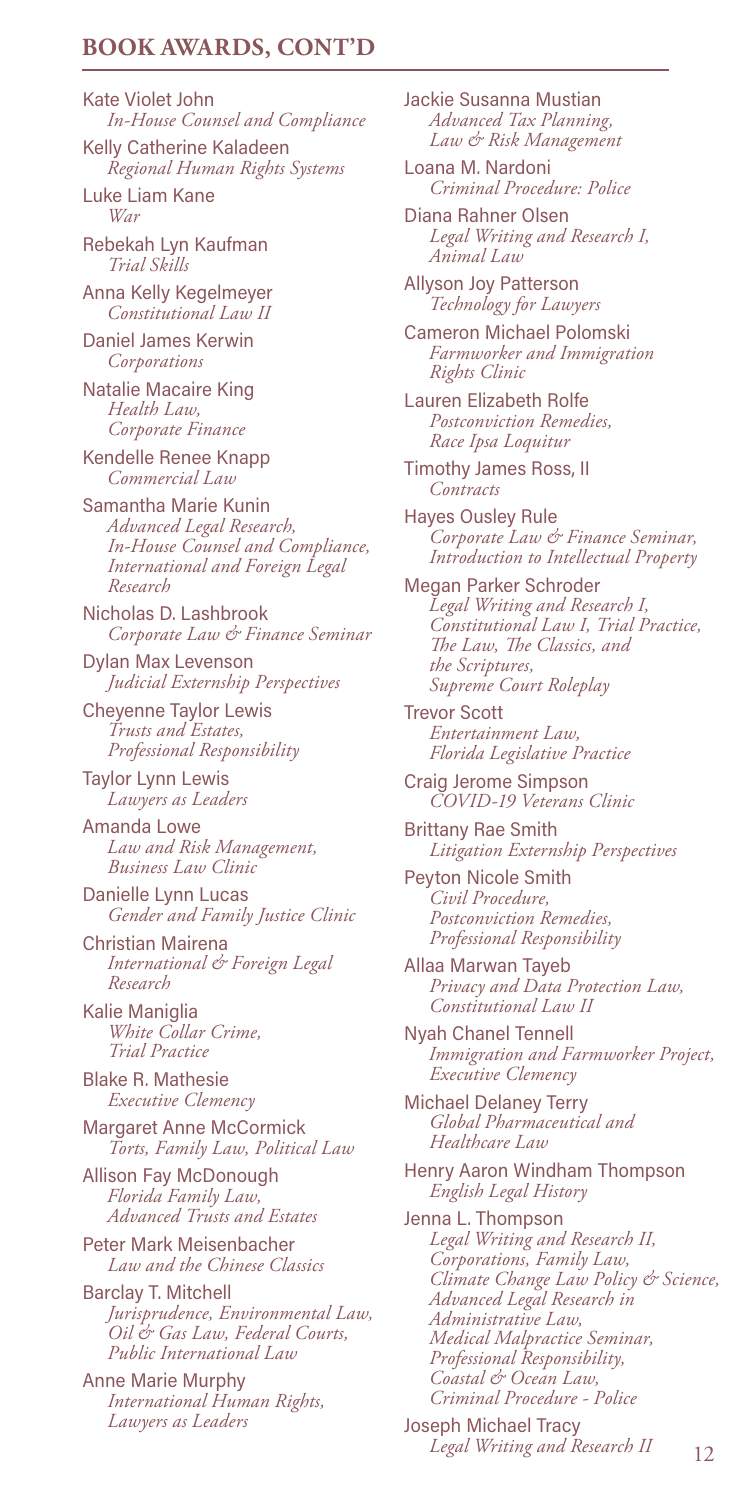## **BOOK AWARDS, CONT'D**

Kate Violet John *In-House Counsel and Compliance*

Kelly Catherine Kaladeen *Regional Human Rights Systems*

Luke Liam Kane *War*

Rebekah Lyn Kaufman *Trial Skills*

Anna Kelly Kegelmeyer *Constitutional Law II*

Daniel James Kerwin *Corporations*

Natalie Macaire King  *Health Law, Corporate Finance*

Kendelle Renee Knapp *Commercial Law*

Samantha Marie Kunin *Advanced Legal Research, In-House Counsel and Compliance, International and Foreign Legal Research*

Nicholas D. Lashbrook  *Corporate Law & Finance Seminar*

Dylan Max Levenson  *Judicial Externship Perspectives*

Cheyenne Taylor Lewis *Trusts and Estates, Professional Responsibility* 

Taylor Lynn Lewis *Lawyers as Leaders*

Amanda Lowe *Law and Risk Management, Business Law Clinic*

Danielle Lynn Lucas  *Gender and Family Justice Clinic*

Christian Mairena *International & Foreign Legal Research*

Kalie Maniglia  *White Collar Crime, Trial Practice*

Blake R. Mathesie  *Executive Clemency*

Margaret Anne McCormick  *Torts, Family Law, Political Law*

Allison Fay McDonough *Florida Family Law, Advanced Trusts and Estates*

Peter Mark Meisenbacher  *Law and the Chinese Classics*

Barclay T. Mitchell  *Jurisprudence, Environmental Law, Oil & Gas Law, Federal Courts, Public International Law*

Anne Marie Murphy  *International Human Rights, Lawyers as Leaders*

Jackie Susanna Mustian  *Advanced Tax Planning, Law & Risk Management*

Loana M. Nardoni  *Criminal Procedure: Police*

Diana Rahner Olsen  *Legal Writing and Research I, Animal Law*

Allyson Joy Patterson *Technology for Lawyers*

Cameron Michael Polomski *Farmworker and Immigration Rights Clinic*

Lauren Elizabeth Rolfe  *Postconviction Remedies, Race Ipsa Loquitur*

Timothy James Ross, II *Contracts*

Hayes Ousley Rule  *Corporate Law & Finance Seminar, Introduction to Intellectual Property*

Megan Parker Schroder *Legal Writing and Research I, Constitutional Law I, Trial Practice, The Law, The Classics, and the Scriptures, Supreme Court Roleplay*

Trevor Scott  *Entertainment Law, Florida Legislative Practice*

Craig Jerome Simpson  *COVID-19 Veterans Clinic*

Brittany Rae Smith  *Litigation Externship Perspectives*

Peyton Nicole Smith  *Civil Procedure, Postconviction Remedies, Professional Responsibility*

Allaa Marwan Tayeb  *Privacy and Data Protection Law, Constitutional Law II*

Nyah Chanel Tennell *Immigration and Farmworker Project, Executive Clemency*

Michael Delaney Terry  *Global Pharmaceutical and Healthcare Law*

Henry Aaron Windham Thompson  *English Legal History*

Jenna L. Thompson  *Legal Writing and Research II, Corporations, Family Law, Climate Change Law Policy & Science, Advanced Legal Research in Administrative Law, Medical Malpractice Seminar, Professional Responsibility, Coastal & Ocean Law, Criminal Procedure - Police*

Joseph Michael Tracy  *Legal Writing and Research II*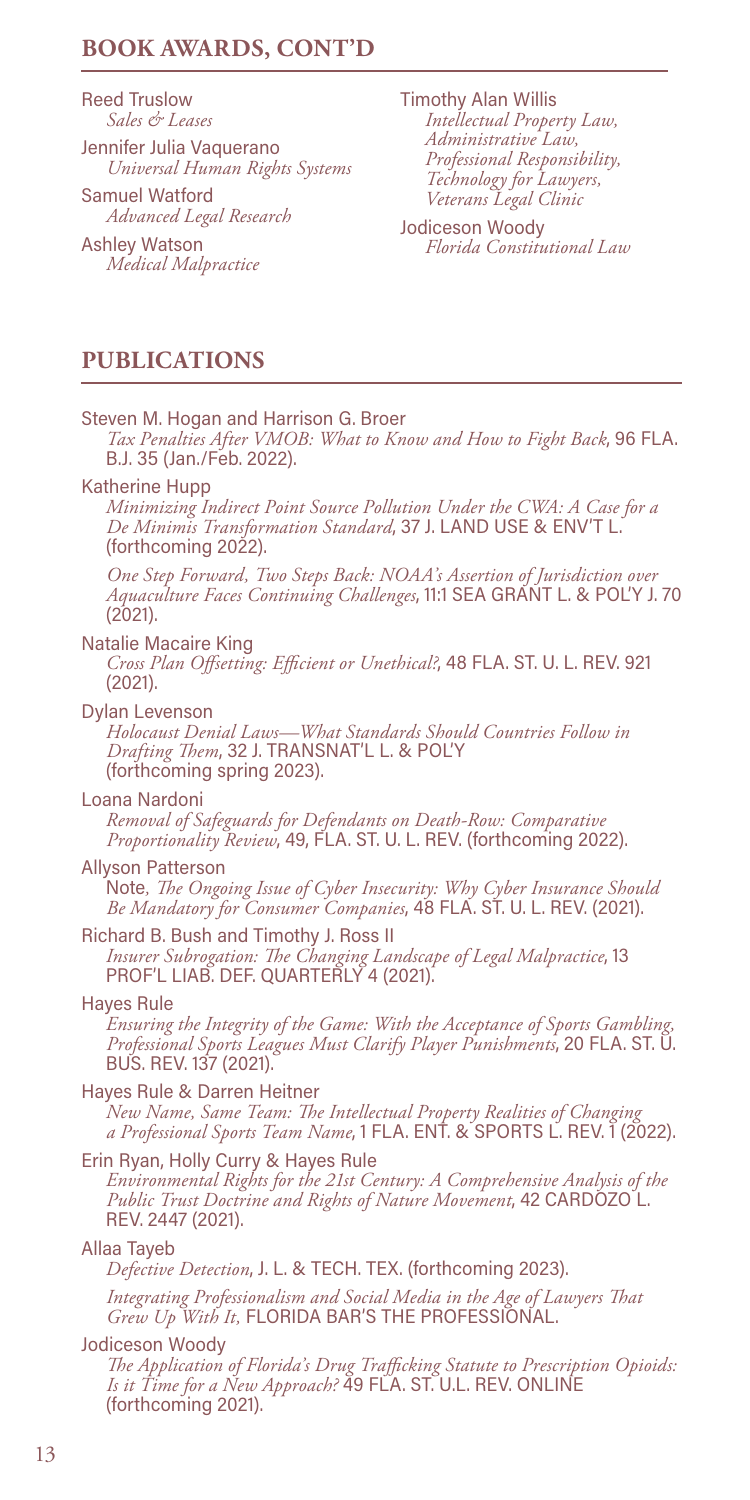# **BOOK AWARDS, CONT'D**

Reed Truslow  *Sales & Leases*

Jennifer Julia Vaquerano  *Universal Human Rights Systems*

Samuel Watford  *Advanced Legal Research*

Ashley Watson  *Medical Malpractice* Timothy Alan Willis  *Intellectual Property Law, Administrative Law, Professional Responsibility, Technology for Lawyers, Veterans Legal Clinic*

Jodiceson Woody  *Florida Constitutional Law* 

# **PUBLICATIONS**

#### Steven M. Hogan and Harrison G. Broer

 *Tax Penalties After VMOB: What to Know and How to Fight Back*, 96 FLA. B.J. 35 (Jan./Feb. 2022).

#### Katherine Hupp

 *Minimizing Indirect Point Source Pollution Under the CWA: A Case for a De Minimis Transformation Standard*, 37 J. LAND USE & ENV'T L. (forthcoming 2022).

 *One Step Forward, Two Steps Back: NOAA's Assertion of Jurisdiction over Aquaculture Faces Continuing Challenges*, 11:1 SEA GRANT L. & POL'Y J. 70 (2021).

#### Natalie Macaire King

 *Cross Plan Offsetting: Efficient or Unethical?*, 48 FLA. ST. U. L. REV. 921 (2021).

#### Dylan Levenson

 *Holocaust Denial Laws—What Standards Should Countries Follow in Drafting Them*, 32 J. TRANSNAT'L L. & POL'Y (forthcoming spring 2023).

#### Loana Nardoni

 *Removal of Safeguards for Defendants on Death-Row: Comparative Proportionality Review*, 49, FLA. ST. U. L. REV. (forthcoming 2022).

#### Allyson Patterson

 Note*, The Ongoing Issue of Cyber Insecurity: Why Cyber Insurance Should Be Mandatory for Consumer Companies*, 48 FLA. ST. U. L. REV. (2021).

## Richard B. Bush and Timothy J. Ross II

 *Insurer Subrogation: The Changing Landscape of Legal Malpractice*, 13 PROF'L LIAB. DEF. QUARTERLY 4 (2021).

#### Hayes Rule

 *Ensuring the Integrity of the Game: With the Acceptance of Sports Gambling, Professional Sports Leagues Must Clarify Player Punishments*, 20 FLA. ST. U. BUS. REV. 137 (2021).

#### Hayes Rule & Darren Heitner

 *New Name, Same Team: The Intellectual Property Realities of Changing a Professional Sports Team Name*, 1 FLA. ENT. & SPORTS L. REV. 1 (2022).

#### Erin Ryan, Holly Curry & Hayes Rule

 *Environmental Rights for the 21st Century: A Comprehensive Analysis of the Public Trust Doctrine and Rights of Nature Movement*, 42 CARDOZO L. REV. 2447 (2021).

## Allaa Tayeb

*Defective Detection*, J. L. & TECH. TEX. (forthcoming 2023).

 *Integrating Professionalism and Social Media in the Age of Lawyers That Grew Up With It,* FLORIDA BAR'S THE PROFESSIONAL.

#### Jodiceson Woody

 *The Application of Florida's Drug Trafficking Statute to Prescription Opioids: Is it Time for a New Approach?* 49 FLA. ST. U.L. REV. ONLINE (forthcoming 2021).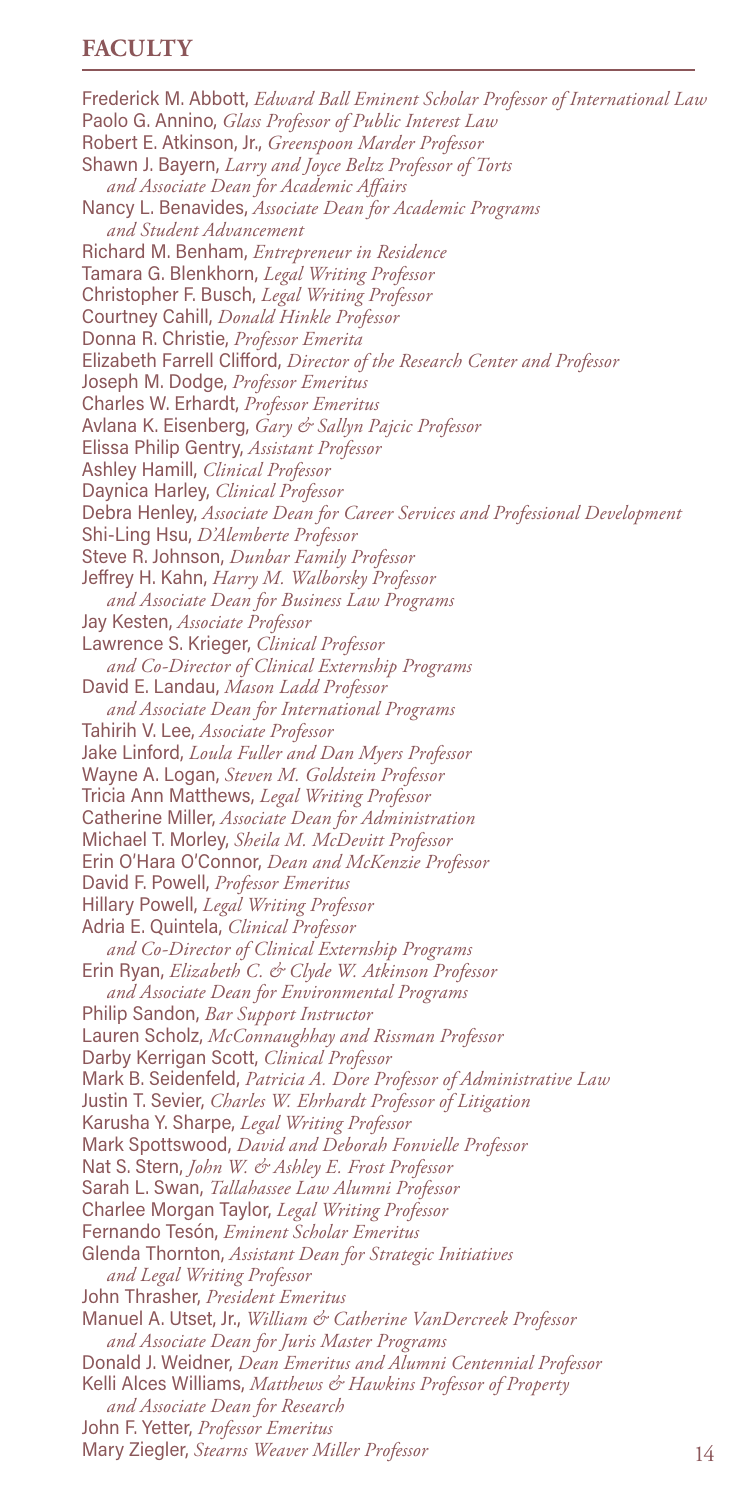## **FACULTY**

Frederick M. Abbott, *Edward Ball Eminent Scholar Professor of International Law* Paolo G. Annino, *Glass Professor of Public Interest Law* Robert E. Atkinson, Jr., *Greenspoon Marder Professor* Shawn J. Bayern, *Larry and Joyce Beltz Professor of Torts and Associate Dean for Academic Affairs* Nancy L. Benavides, *Associate Dean for Academic Programs and Student Advancement* Richard M. Benham, *Entrepreneur in Residence* Tamara G. Blenkhorn, *Legal Writing Professor* Christopher F. Busch, *Legal Writing Professor* Courtney Cahill, *Donald Hinkle Professor* Donna R. Christie, *Professor Emerita* Elizabeth Farrell Clifford, *Director of the Research Center and Professor* Joseph M. Dodge, *Professor Emeritus* Charles W. Erhardt, *Professor Emeritus* Avlana K. Eisenberg, *Gary & Sallyn Pajcic Professor* Elissa Philip Gentry, *Assistant Professor* Ashley Hamill, *Clinical Professor* Daynica Harley, *Clinical Professor* Debra Henley, *Associate Dean for Career Services and Professional Development* Shi-Ling Hsu, *D'Alemberte Professor* Steve R. Johnson, *Dunbar Family Professor* Jeffrey H. Kahn, *Harry M. Walborsky Professor and Associate Dean for Business Law Programs* Jay Kesten, *Associate Professor* Lawrence S. Krieger, *Clinical Professor and Co-Director of Clinical Externship Programs* David E. Landau, *Mason Ladd Professor and Associate Dean for International Programs* Tahirih V. Lee, *Associate Professor* Jake Linford, *Loula Fuller and Dan Myers Professor* Wayne A. Logan, *Steven M. Goldstein Professor* Tricia Ann Matthews, *Legal Writing Professor* Catherine Miller, *Associate Dean for Administration* Michael T. Morley, *Sheila M. McDevitt Professor* Erin O'Hara O'Connor, *Dean and McKenzie Professor* David F. Powell, *Professor Emeritus* Hillary Powell, *Legal Writing Professor* Adria E. Quintela, *Clinical Professor and Co-Director of Clinical Externship Programs* Erin Ryan, *Elizabeth C. & Clyde W. Atkinson Professor and Associate Dean for Environmental Programs* Philip Sandon, *Bar Support Instructor* Lauren Scholz, *McConnaughhay and Rissman Professor* Darby Kerrigan Scott, *Clinical Professor* Mark B. Seidenfeld, *Patricia A. Dore Professor of Administrative Law* Justin T. Sevier, *Charles W. Ehrhardt Professor of Litigation* Karusha Y. Sharpe, *Legal Writing Professor* Mark Spottswood, *David and Deborah Fonvielle Professor* Nat S. Stern, *John W. & Ashley E. Frost Professor* Sarah L. Swan, *Tallahassee Law Alumni Professor* Charlee Morgan Taylor, *Legal Writing Professor* Fernando Tesón, *Eminent Scholar Emeritus* Glenda Thornton, *Assistant Dean for Strategic Initiatives and Legal Writing Professor* John Thrasher, *President Emeritus* Manuel A. Utset, Jr., *William & Catherine VanDercreek Professor and Associate Dean for Juris Master Programs* Donald J. Weidner, *Dean Emeritus and Alumni Centennial Professor* Kelli Alces Williams, *Matthews & Hawkins Professor of Property and Associate Dean for Research* John F. Yetter, *Professor Emeritus* Mary Ziegler, *Stearns Weaver Miller Professor*